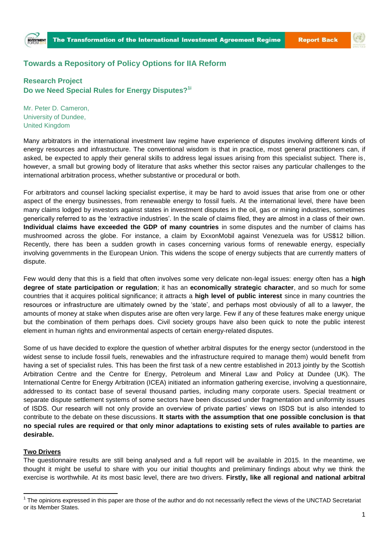## **Towards a Repository of Policy Options for IIA Reform**

**Research Project Do we Need Special Rules for Energy Disputes?1i**

Mr. Peter D. Cameron, University of Dundee, United Kingdom

Many arbitrators in the international investment law regime have experience of disputes involving different kinds of energy resources and infrastructure. The conventional wisdom is that in practice, most general practitioners can, if asked, be expected to apply their general skills to address legal issues arising from this specialist subject. There is, however, a small but growing body of literature that asks whether this sector raises any particular challenges to the international arbitration process, whether substantive or procedural or both.

For arbitrators and counsel lacking specialist expertise, it may be hard to avoid issues that arise from one or other aspect of the energy businesses, from renewable energy to fossil fuels. At the international level, there have been many claims lodged by investors against states in investment disputes in the oil, gas or mining industries, sometimes generically referred to as the 'extractive industries'. In the scale of claims filed, they are almost in a class of their own. **Individual claims have exceeded the GDP of many countries** in some disputes and the number of claims has mushroomed across the globe. For instance, a claim by ExxonMobil against Venezuela was for US\$12 billion. Recently, there has been a sudden growth in cases concerning various forms of renewable energy, especially involving governments in the European Union. This widens the scope of energy subjects that are currently matters of dispute.

Few would deny that this is a field that often involves some very delicate non-legal issues: energy often has a **high degree of state participation or regulation**; it has an **economically strategic character**, and so much for some countries that it acquires political significance; it attracts a **high level of public interest** since in many countries the resources or infrastructure are ultimately owned by the 'state', and perhaps most obviously of all to a lawyer, the amounts of money at stake when disputes arise are often very large. Few if any of these features make energy unique but the combination of them perhaps does. Civil society groups have also been quick to note the public interest element in human rights and environmental aspects of certain energy-related disputes.

Some of us have decided to explore the question of whether arbitral disputes for the energy sector (understood in the widest sense to include fossil fuels, renewables and the infrastructure required to manage them) would benefit from having a set of specialist rules. This has been the first task of a new centre established in 2013 jointly by the Scottish Arbitration Centre and the Centre for Energy, Petroleum and Mineral Law and Policy at Dundee (UK). The International Centre for Energy Arbitration (ICEA) initiated an information gathering exercise, involving a questionnaire, addressed to its contact base of several thousand parties, including many corporate users. Special treatment or separate dispute settlement systems of some sectors have been discussed under fragmentation and uniformity issues of ISDS. Our research will not only provide an overview of private parties' views on ISDS but is also intended to contribute to the debate on these discussions. **It starts with the assumption that one possible conclusion is that no special rules are required or that only minor adaptations to existing sets of rules available to parties are desirable.** 

## **Two Drivers**

 $\overline{a}$ 

The questionnaire results are still being analysed and a full report will be available in 2015. In the meantime, we thought it might be useful to share with you our initial thoughts and preliminary findings about why we think the exercise is worthwhile. At its most basic level, there are two drivers. **Firstly, like all regional and national arbitral** 

<sup>&</sup>lt;sup>1</sup> The opinions expressed in this paper are those of the author and do not necessarily reflect the views of the UNCTAD Secretariat or its Member States.